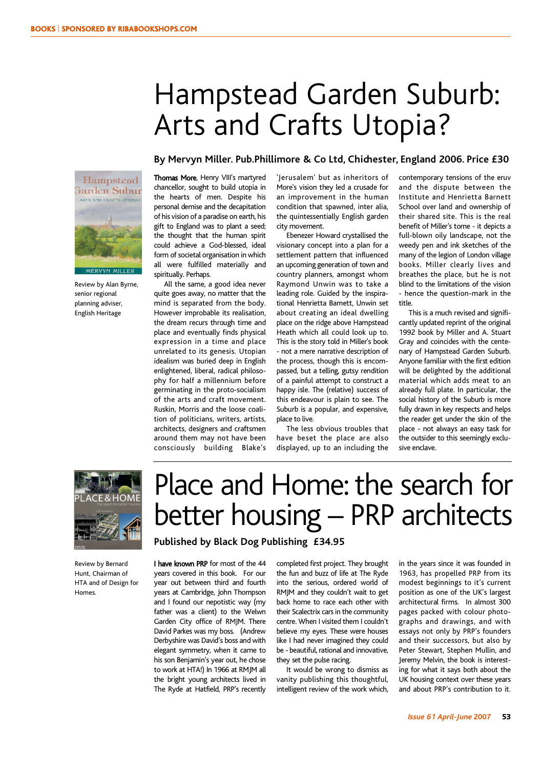### Hampstead Garden Suburb: Arts and Crafts Utopia?

#### **By Mervyn Miller. Pub.Phillimore & Co Ltd, Chichester, England 2006. Price £30**



Review by Alan Byrne, senior regional planning adviser, English Heritage

Thomas More, Henry VIII's martyred chancellor, sought to build utopia in the hearts of men. Despite his personal demise and the decapitation of his vision of a paradise on earth, his gift to England was to plant a seed; the thought that the human spirit could achieve a God-blessed, ideal form of societal organisation in which all were fulfilled materially and spiritually. Perhaps.

All the same, a good idea never quite goes away, no matter that the mind is separated from the body. However improbable its realisation, the dream recurs through time and place and eventually finds physical expression in a time and place unrelated to its genesis. Utopian idealism was buried deep in English enlightened, liberal, radical philosophy for half a millennium before germinating in the proto-socialism of the arts and craft movement. Ruskin, Morris and the loose coalition of politicians, writers, artists, architects, designers and craftsmen around them may not have been consciously building Blake's 'Jerusalem' but as inheritors of More's vision they led a crusade for an improvement in the human condition that spawned, inter alia, the quintessentially English garden city movement.

Ebenezer Howard crystallised the visionary concept into a plan for a settlement pattern that influenced an upcoming generation of town and country planners, amongst whom Raymond Unwin was to take a leading role. Guided by the inspirational Henrietta Barnett, Unwin set about creating an ideal dwelling place on the ridge above Hampstead Heath which all could look up to. This is the story told in Miller's book - not a mere narrative description of the process, though this is encompassed, but a telling, gutsy rendition of a painful attempt to construct a happy isle. The (relative) success of this endeavour is plain to see. The Suburb is a popular, and expensive, place to live.

The less obvious troubles that have beset the place are also displayed, up to an including the contemporary tensions of the eruv and the dispute between the Institute and Henrietta Barnett School over land and ownership of their shared site. This is the real benefit of Miller's tome - it depicts a full-blown oily landscape, not the weedy pen and ink sketches of the many of the legion of London village books. Miller clearly lives and breathes the place, but he is not blind to the limitations of the vision - hence the question-mark in the title.

This is a much revised and significantly updated reprint of the original 1992 book by Miller and A. Stuart Gray and coincides with the centenary of Hampstead Garden Suburb. Anyone familiar with the first edition will be delighted by the additional material which adds meat to an already full plate. In particular, the social history of the Suburb is more fully drawn in key respects and helps the reader get under the skin of the place - not always an easy task for the outsider to this seemingly exclusive enclave.



Review by Bernard Hunt, Chairman of HTA and of Design for Homes.

## Place and Home: the search for better housing – PRP architects

#### **Published by Black Dog Publishing £34.95**

I have known PRP for most of the 44 years covered in this book. For our year out between third and fourth years at Cambridge, John Thompson and I found our nepotistic way (my father was a client) to the Welwn Garden City office of RMJM. There David Parkes was my boss. (Andrew Derbyshire was David's boss and with elegant symmetry, when it came to his son Benjamin's year out, he chose to work at HTA!) In 1966 at RMJM all the bright young architects lived in The Ryde at Hatfield, PRP's recently completed first project. They brought the fun and buzz of life at The Ryde into the serious, ordered world of RMJM and they couldn't wait to get back home to race each other with their Scalectrix cars in the community centre. When I visited them I couldn't believe my eyes. These were houses like I had never imagined they could be - beautiful, rational and innovative, they set the pulse racing.

It would be wrong to dismiss as vanity publishing this thoughtful, intelligent review of the work which, in the years since it was founded in 1963, has propelled PRP from its modest beginnings to it's current position as one of the UK's largest architectural firms. In almost 300 pages packed with colour photographs and drawings, and with essays not only by PRP's founders and their successors, but also by Peter Stewart, Stephen Mullin, and Jeremy Melvin, the book is interesting for what it says both about the UK housing context over these years and about PRP's contribution to it.